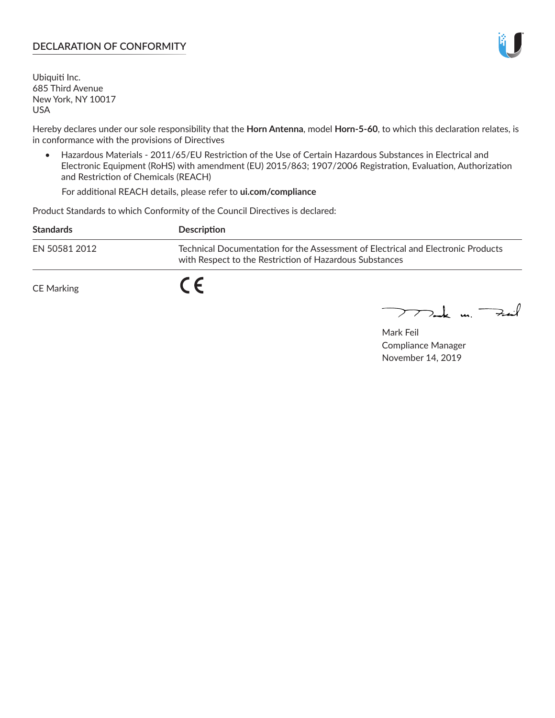# **DECLARATION OF CONFORMITY**

Ubiquiti Inc. 685 Third Avenue New York, NY 10017 USA

Hereby declares under our sole responsibility that the **Horn Antenna**, model **Horn-5-60**, to which this declaration relates, is in conformance with the provisions of Directives

• Hazardous Materials - 2011/65/EU Restriction of the Use of Certain Hazardous Substances in Electrical and Electronic Equipment (RoHS) with amendment (EU) 2015/863; 1907/2006 Registration, Evaluation, Authorization and Restriction of Chemicals (REACH)

For additional REACH details, please refer to **ui.com/compliance**

Product Standards to which Conformity of the Council Directives is declared:

| <b>Standards</b>  | <b>Description</b>                                                                                                                          |
|-------------------|---------------------------------------------------------------------------------------------------------------------------------------------|
| EN 50581 2012     | Technical Documentation for the Assessment of Electrical and Electronic Products<br>with Respect to the Restriction of Hazardous Substances |
| <b>CE Marking</b> |                                                                                                                                             |

 $\sum_{n=1}^{\infty}$  un  $\sum_{n=1}^{\infty}$ 

Mark Feil Compliance Manager November 14, 2019

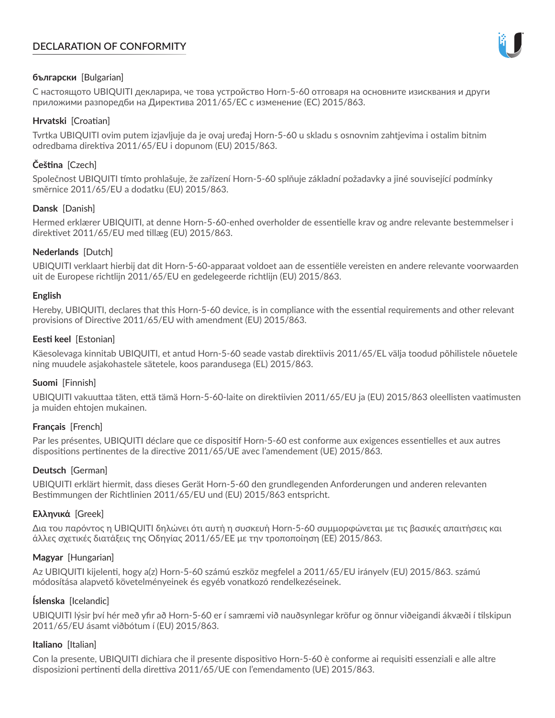# **DECLARATION OF CONFORMITY**



## **български** [Bulgarian]

С настоящото UBIQUITI декларира, че това устройство Horn-5-60 отговаря на основните изисквания и други приложими разпоредби на Директива 2011/65/ЕС с изменение (ЕС) 2015/863.

## **Hrvatski** [Croatian]

Tvrtka UBIQUITI ovim putem izjavljuje da je ovaj uređaj Horn-5-60 u skladu s osnovnim zahtjevima i ostalim bitnim odredbama direktiva 2011/65/EU i dopunom (EU) 2015/863.

# **Čeština** [Czech]

Společnost UBIQUITI tímto prohlašuje, že zařízení Horn-5-60 splňuje základní požadavky a jiné související podmínky směrnice 2011/65/EU a dodatku (EU) 2015/863.

## **Dansk** [Danish]

Hermed erklærer UBIQUITI, at denne Horn-5-60-enhed overholder de essentielle krav og andre relevante bestemmelser i direktivet 2011/65/EU med tillæg (EU) 2015/863.

## **Nederlands** [Dutch]

UBIQUITI verklaart hierbij dat dit Horn-5-60-apparaat voldoet aan de essentiële vereisten en andere relevante voorwaarden uit de Europese richtlijn 2011/65/EU en gedelegeerde richtlijn (EU) 2015/863.

#### **English**

Hereby, UBIQUITI, declares that this Horn-5-60 device, is in compliance with the essential requirements and other relevant provisions of Directive 2011/65/EU with amendment (EU) 2015/863.

## **Eesti keel** [Estonian]

Käesolevaga kinnitab UBIQUITI, et antud Horn-5-60 seade vastab direktiivis 2011/65/EL välja toodud põhilistele nõuetele ning muudele asjakohastele sätetele, koos parandusega (EL) 2015/863.

# **Suomi** [Finnish]

UBIQUITI vakuuttaa täten, että tämä Horn-5-60-laite on direktiivien 2011/65/EU ja (EU) 2015/863 oleellisten vaatimusten ja muiden ehtojen mukainen.

#### **Français** [French]

Par les présentes, UBIQUITI déclare que ce dispositif Horn-5-60 est conforme aux exigences essentielles et aux autres dispositions pertinentes de la directive 2011/65/UE avec l'amendement (UE) 2015/863.

# **Deutsch** [German]

UBIQUITI erklärt hiermit, dass dieses Gerät Horn-5-60 den grundlegenden Anforderungen und anderen relevanten Bestimmungen der Richtlinien 2011/65/EU und (EU) 2015/863 entspricht.

#### **Ελληνικά** [Greek]

Δια του παρόντος η UBIQUITI δηλώνει ότι αυτή η συσκευή Horn-5-60 συμμορφώνεται με τις βασικές απαιτήσεις και άλλες σχετικές διατάξεις της Οδηγίας 2011/65/ΕΕ με την τροποποίηση (ΕΕ) 2015/863.

#### **Magyar** [Hungarian]

Az UBIQUITI kijelenti, hogy a(z) Horn-5-60 számú eszköz megfelel a 2011/65/EU irányelv (EU) 2015/863. számú módosítása alapvető követelményeinek és egyéb vonatkozó rendelkezéseinek.

#### **Íslenska** [Icelandic]

UBIQUITI lýsir því hér með yfir að Horn-5-60 er í samræmi við nauðsynlegar kröfur og önnur viðeigandi ákvæði í tilskipun 2011/65/EU ásamt viðbótum í (EU) 2015/863.

#### **Italiano** [Italian]

Con la presente, UBIQUITI dichiara che il presente dispositivo Horn-5-60 è conforme ai requisiti essenziali e alle altre disposizioni pertinenti della direttiva 2011/65/UE con l'emendamento (UE) 2015/863.